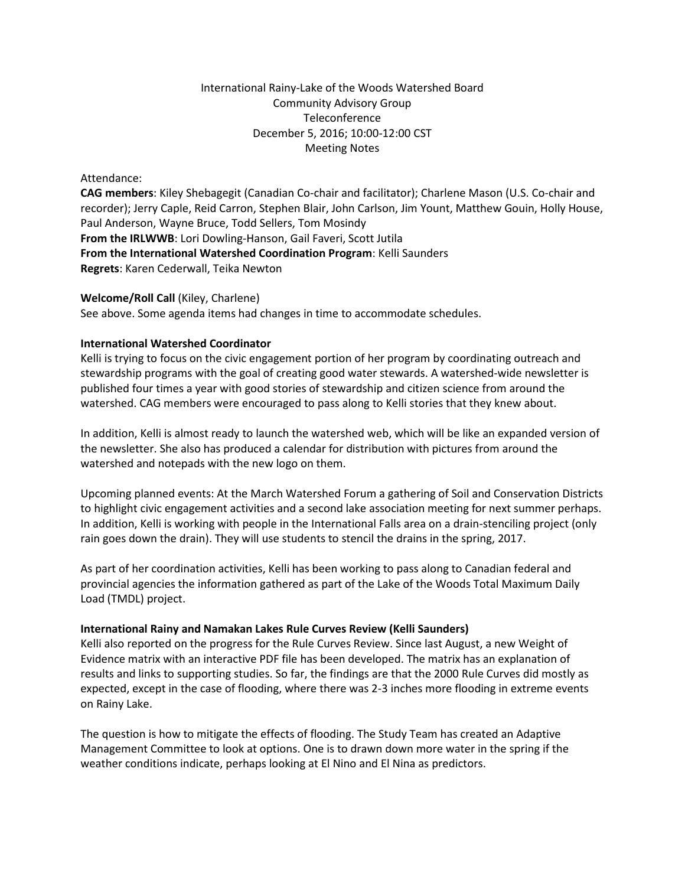## International Rainy-Lake of the Woods Watershed Board Community Advisory Group Teleconference December 5, 2016; 10:00-12:00 CST Meeting Notes

### Attendance:

**CAG members**: Kiley Shebagegit (Canadian Co-chair and facilitator); Charlene Mason (U.S. Co-chair and recorder); Jerry Caple, Reid Carron, Stephen Blair, John Carlson, Jim Yount, Matthew Gouin, Holly House, Paul Anderson, Wayne Bruce, Todd Sellers, Tom Mosindy **From the IRLWWB**: Lori Dowling-Hanson, Gail Faveri, Scott Jutila **From the International Watershed Coordination Program**: Kelli Saunders **Regrets**: Karen Cederwall, Teika Newton

### **Welcome/Roll Call** (Kiley, Charlene)

See above. Some agenda items had changes in time to accommodate schedules.

### **International Watershed Coordinator**

Kelli is trying to focus on the civic engagement portion of her program by coordinating outreach and stewardship programs with the goal of creating good water stewards. A watershed-wide newsletter is published four times a year with good stories of stewardship and citizen science from around the watershed. CAG members were encouraged to pass along to Kelli stories that they knew about.

In addition, Kelli is almost ready to launch the watershed web, which will be like an expanded version of the newsletter. She also has produced a calendar for distribution with pictures from around the watershed and notepads with the new logo on them.

Upcoming planned events: At the March Watershed Forum a gathering of Soil and Conservation Districts to highlight civic engagement activities and a second lake association meeting for next summer perhaps. In addition, Kelli is working with people in the International Falls area on a drain-stenciling project (only rain goes down the drain). They will use students to stencil the drains in the spring, 2017.

As part of her coordination activities, Kelli has been working to pass along to Canadian federal and provincial agencies the information gathered as part of the Lake of the Woods Total Maximum Daily Load (TMDL) project.

#### **International Rainy and Namakan Lakes Rule Curves Review (Kelli Saunders)**

Kelli also reported on the progress for the Rule Curves Review. Since last August, a new Weight of Evidence matrix with an interactive PDF file has been developed. The matrix has an explanation of results and links to supporting studies. So far, the findings are that the 2000 Rule Curves did mostly as expected, except in the case of flooding, where there was 2-3 inches more flooding in extreme events on Rainy Lake.

The question is how to mitigate the effects of flooding. The Study Team has created an Adaptive Management Committee to look at options. One is to drawn down more water in the spring if the weather conditions indicate, perhaps looking at El Nino and El Nina as predictors.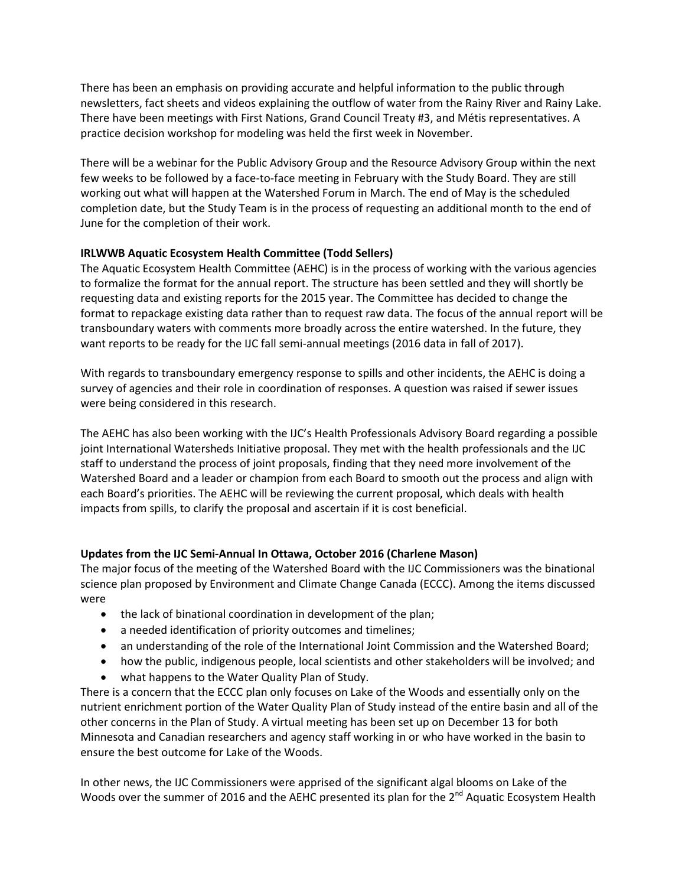There has been an emphasis on providing accurate and helpful information to the public through newsletters, fact sheets and videos explaining the outflow of water from the Rainy River and Rainy Lake. There have been meetings with First Nations, Grand Council Treaty #3, and Métis representatives. A practice decision workshop for modeling was held the first week in November.

There will be a webinar for the Public Advisory Group and the Resource Advisory Group within the next few weeks to be followed by a face-to-face meeting in February with the Study Board. They are still working out what will happen at the Watershed Forum in March. The end of May is the scheduled completion date, but the Study Team is in the process of requesting an additional month to the end of June for the completion of their work.

## **IRLWWB Aquatic Ecosystem Health Committee (Todd Sellers)**

The Aquatic Ecosystem Health Committee (AEHC) is in the process of working with the various agencies to formalize the format for the annual report. The structure has been settled and they will shortly be requesting data and existing reports for the 2015 year. The Committee has decided to change the format to repackage existing data rather than to request raw data. The focus of the annual report will be transboundary waters with comments more broadly across the entire watershed. In the future, they want reports to be ready for the IJC fall semi-annual meetings (2016 data in fall of 2017).

With regards to transboundary emergency response to spills and other incidents, the AEHC is doing a survey of agencies and their role in coordination of responses. A question was raised if sewer issues were being considered in this research.

The AEHC has also been working with the IJC's Health Professionals Advisory Board regarding a possible joint International Watersheds Initiative proposal. They met with the health professionals and the IJC staff to understand the process of joint proposals, finding that they need more involvement of the Watershed Board and a leader or champion from each Board to smooth out the process and align with each Board's priorities. The AEHC will be reviewing the current proposal, which deals with health impacts from spills, to clarify the proposal and ascertain if it is cost beneficial.

# **Updates from the IJC Semi-Annual In Ottawa, October 2016 (Charlene Mason)**

The major focus of the meeting of the Watershed Board with the IJC Commissioners was the binational science plan proposed by Environment and Climate Change Canada (ECCC). Among the items discussed were

- the lack of binational coordination in development of the plan;
- a needed identification of priority outcomes and timelines;
- an understanding of the role of the International Joint Commission and the Watershed Board;
- how the public, indigenous people, local scientists and other stakeholders will be involved; and
- what happens to the Water Quality Plan of Study.

There is a concern that the ECCC plan only focuses on Lake of the Woods and essentially only on the nutrient enrichment portion of the Water Quality Plan of Study instead of the entire basin and all of the other concerns in the Plan of Study. A virtual meeting has been set up on December 13 for both Minnesota and Canadian researchers and agency staff working in or who have worked in the basin to ensure the best outcome for Lake of the Woods.

In other news, the IJC Commissioners were apprised of the significant algal blooms on Lake of the Woods over the summer of 2016 and the AEHC presented its plan for the 2<sup>nd</sup> Aquatic Ecosystem Health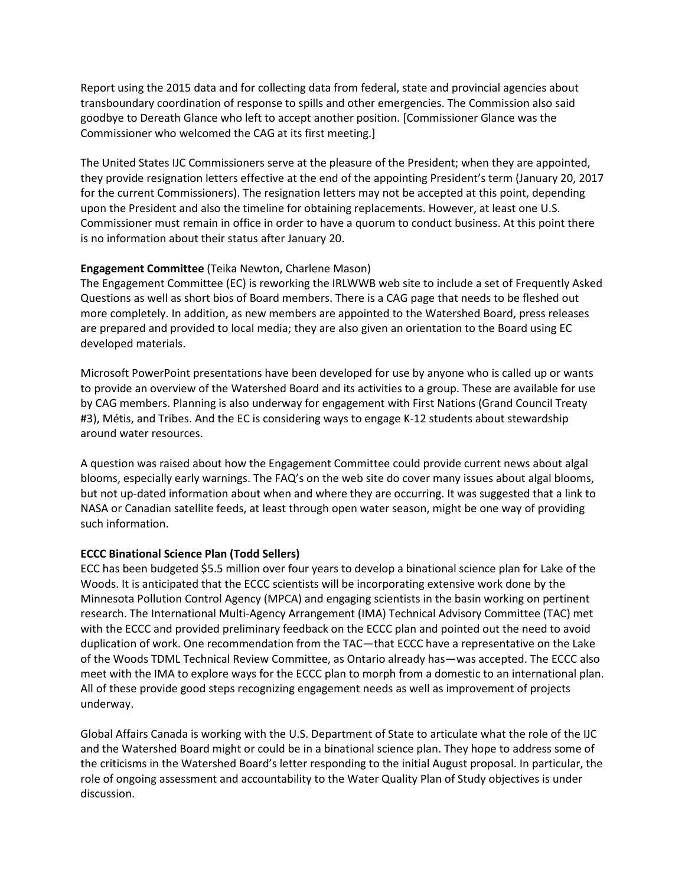Report using the 2015 data and for collecting data from federal, state and provincial agencies about transboundary coordination of response to spills and other emergencies. The Commission also said goodbye to Dereath Glance who left to accept another position. [Commissioner Glance was the Commissioner who welcomed the CAG at its first meeting.]

The United States IJC Commissioners serve at the pleasure of the President; when they are appointed, they provide resignation letters effective at the end of the appointing President's term (January 20, 2017 for the current Commissioners). The resignation letters may not be accepted at this point, depending upon the President and also the timeline for obtaining replacements. However, at least one U.S. Commissioner must remain in office in order to have a quorum to conduct business. At this point there is no information about their status after January 20.

## **Engagement Committee** (Teika Newton, Charlene Mason)

The Engagement Committee (EC) is reworking the IRLWWB web site to include a set of Frequently Asked Questions as well as short bios of Board members. There is a CAG page that needs to be fleshed out more completely. In addition, as new members are appointed to the Watershed Board, press releases are prepared and provided to local media; they are also given an orientation to the Board using EC developed materials.

Microsoft PowerPoint presentations have been developed for use by anyone who is called up or wants to provide an overview of the Watershed Board and its activities to a group. These are available for use by CAG members. Planning is also underway for engagement with First Nations (Grand Council Treaty #3), Métis, and Tribes. And the EC is considering ways to engage K-12 students about stewardship around water resources.

A question was raised about how the Engagement Committee could provide current news about algal blooms, especially early warnings. The FAQ's on the web site do cover many issues about algal blooms, but not up-dated information about when and where they are occurring. It was suggested that a link to NASA or Canadian satellite feeds, at least through open water season, might be one way of providing such information.

# **ECCC Binational Science Plan (Todd Sellers)**

ECC has been budgeted \$5.5 million over four years to develop a binational science plan for Lake of the Woods. It is anticipated that the ECCC scientists will be incorporating extensive work done by the Minnesota Pollution Control Agency (MPCA) and engaging scientists in the basin working on pertinent research. The International Multi-Agency Arrangement (IMA) Technical Advisory Committee (TAC) met with the ECCC and provided preliminary feedback on the ECCC plan and pointed out the need to avoid duplication of work. One recommendation from the TAC—that ECCC have a representative on the Lake of the Woods TDML Technical Review Committee, as Ontario already has—was accepted. The ECCC also meet with the IMA to explore ways for the ECCC plan to morph from a domestic to an international plan. All of these provide good steps recognizing engagement needs as well as improvement of projects underway.

Global Affairs Canada is working with the U.S. Department of State to articulate what the role of the IJC and the Watershed Board might or could be in a binational science plan. They hope to address some of the criticisms in the Watershed Board's letter responding to the initial August proposal. In particular, the role of ongoing assessment and accountability to the Water Quality Plan of Study objectives is under discussion.